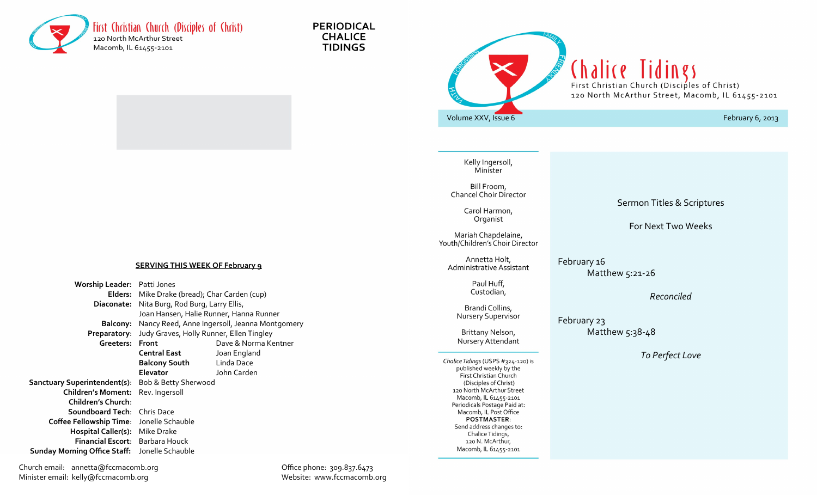

**PERIODICAL CHALICE TIDINGS** 



Kelly Ingersoll, Minister

Bill Froom, **Chancel Choir Director** 

> Carol Harmon, Organist

Mariah Chapdelaine, Youth/Children's Choir Director

> Annetta Holt, Administrative Assistant

> > Paul Huff, Custodian,

Brandi Collins, **Nursery Supervisor** 

Brittany Nelson, Nursery Attendant

Chalice Tidings (USPS #324-120) is published weekly by the First Christian Church (Disciples of Christ) 120 North McArthur Street Macomb, IL 61455-2101 Periodicals Postage Paid at: Macomb, IL Post Office **POSTMASTER:** Send address changes to: Chalice Tidings, 120 N. McArthur, Macomb, IL 61455-2101

Sermon Titles & Scriptures

For Next Two Weeks

February 16 Matthew 5:21-26

*Reconciled*

February 23 Matthew 5:38-48

*To Perfect Love*

**SERVING THIS WEEK OF February 9**

**Worship Leader:** Patti Jones **Elders:** Mike Drake (bread); Char Carden (cup) **Diaconate:** Nita Burg, Rod Burg, Larry Ellis, Joan Hansen, Halie Runner, Hanna Runner **Balcony:** Nancy Reed, Anne Ingersoll, Jeanna Montgomery **Preparatory**: Judy Graves, Holly Runner, Ellen Tingley **Greeters: Front** Dave & Norma Kentner **Central East** Joan England  **Balcony South** Linda Dace **Elevator** John Carden **Sanctuary Superintendent(s)**: Bob & Betty Sherwood **Children's Moment:** Rev. Ingersoll **Children's Church**: **Soundboard Tech**: Chris Dace **Coffee Fellowship Time**: Jonelle Schauble **Hospital Caller(s):** Mike Drake **Financial Escort**: Barbara Houck  **Sunday Morning Office Staff:** Jonelle Schauble

Church email: annetta@fccmacomb.org Office phone: 309.837.6473 Minister email: kelly@fccmacomb.org Website: www.fccmacomb.org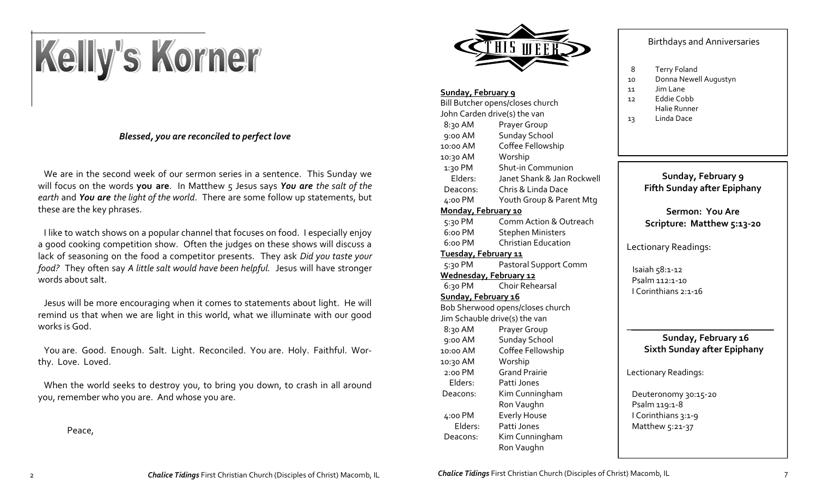# Kelly's Korner

### *Blessed, you are reconciled to perfect love*

 We are in the second week of our sermon series in a sentence. This Sunday we will focus on the words **you are**. In Matthew 5 Jesus says *You are the salt of the earth* and *You are the light of the world*. There are some follow up statements, but these are the key phrases.

 I like to watch shows on a popular channel that focuses on food. I especially enjoy a good cooking competition show. Often the judges on these shows will discuss a lack of seasoning on the food a competitor presents. They ask *Did you taste your food?* They often say *A little salt would have been helpful.* Jesus will have stronger words about salt.

 Jesus will be more encouraging when it comes to statements about light. He will remind us that when we are light in this world, what we illuminate with our good works is God.

 You are. Good. Enough. Salt. Light. Reconciled. You are. Holy. Faithful. Worthy. Love. Loved.

 When the world seeks to destroy you, to bring you down, to crash in all around you, remember who you are. And whose you are.

Peace,



#### **Sunday, February 9**

| Bill Butcher opens/closes church |                            |
|----------------------------------|----------------------------|
| John Carden drive(s) the van     |                            |
| 8:30 AM                          | Prayer Group               |
| 9:00 AM                          | <b>Sunday School</b>       |
| 10:00 AM                         | Coffee Fellowship          |
| 10:30 AM                         | Worship                    |
| 1:30 PM                          | <b>Shut-in Communion</b>   |
| Elders:                          | Janet Shank & Jan Rockwell |
| Deacons:                         | Chris & Linda Dace         |
| 4:00 PM                          | Youth Group & Parent Mtg   |
| Monday, February 10              |                            |
| 5:30 PM                          | Comm Action & Outreach     |
| 6:00 PM                          | <b>Stephen Ministers</b>   |
| 6:00 PM                          | <b>Christian Education</b> |
| <u>Tuesday, February 11</u>      |                            |
| 5:30 PM                          | Pastoral Support Comm      |
| Wednesday, February 12           |                            |
| 6:30 PM                          | <b>Choir Rehearsal</b>     |
| Sunday, February 16              |                            |
| Bob Sherwood opens/closes church |                            |
| Jim Schauble drive(s) the van    |                            |
| 8:30 AM                          | Prayer Group               |
| 9:00 AM                          | <b>Sunday School</b>       |
| 10:00 AM                         | Coffee Fellowship          |
| 10:30 AM                         | Worship                    |
| 2:00 PM                          | <b>Grand Prairie</b>       |
| Elders:                          | Patti Jones                |
| Deacons:                         | Kim Cunningham             |
|                                  | Ron Vaughn                 |
| 4:00 PM                          | <b>Everly House</b>        |
| Elders:                          | Patti Jones                |
| Deacons:                         | Kim Cunningham             |
|                                  | Ron Vaughn                 |

#### Birthdays and Anniversaries

- 8 Terry Foland
- 10 Donna Newell Augustyn
- 11 Jim Lane
- 12 Eddie Cobb
	- Halie Runner
- 13 Linda Dace

#### **Sunday, February 9 Fifth Sunday after Epiphany**

**Sermon: You Are Scripture: Matthew 5:13-20**

Lectionary Readings:

 Isaiah 58:1-12 Psalm 112:1-10 I Corinthians 2:1-16

#### \_\_\_\_\_\_\_\_\_\_\_\_\_\_\_\_\_\_\_\_\_\_\_\_\_\_\_\_\_\_\_ **Sunday, February 16 Sixth Sunday after Epiphany**

Lectionary Readings:

 Deuteronomy 30:15-20 Psalm 119:1-8 I Corinthians 3:1-9 Matthew 5:21-37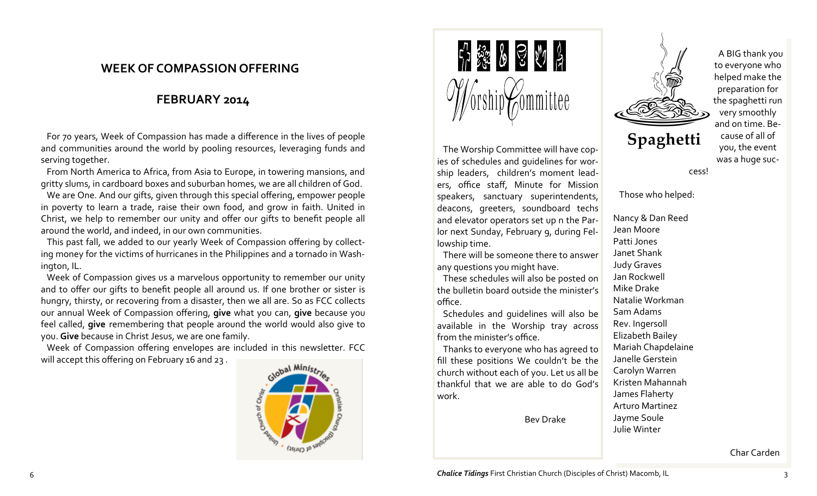## **WEEK OF COMPASSION OFFERING**

## **FEBRUARY 2014**

 For 70 years, Week of Compassion has made a difference in the lives of people and communities around the world by pooling resources, leveraging funds and serving together.

 From North America to Africa, from Asia to Europe, in towering mansions, and gritty slums, in cardboard boxes and suburban homes, we are all children of God.

 We are One. And our gifts, given through this special offering, empower people in poverty to learn a trade, raise their own food, and grow in faith. United in Christ, we help to remember our unity and offer our gifts to benefit people all around the world, and indeed, in our own communities.

 This past fall, we added to our yearly Week of Compassion offering by collecting money for the victims of hurricanes in the Philippines and a tornado in Washington, IL.

 Week of Compassion gives us a marvelous opportunity to remember our unity and to offer our gifts to benefit people all around us. If one brother or sister is hungry, thirsty, or recovering from a disaster, then we all are. So as FCC collects our annual Week of Compassion offering, **give** what you can, **give** because you feel called, **give** remembering that people around the world would also give to you. **Give** because in Christ Jesus, we are one family.

 Week of Compassion offering envelopes are included in this newsletter. FCC will accept this offering on February 16 and 23 .





 The Worship Committee will have copies of schedules and guidelines for worship leaders, children's moment leaders, office staff, Minute for Mission speakers, sanctuary superintendents, deacons, greeters, soundboard techs and elevator operators set up n the Parlor next Sunday, February 9, during Fellowship time.

 There will be someone there to answer any questions you might have.

 These schedules will also be posted on the bulletin board outside the minister's office.

 Schedules and guidelines will also be available in the Worship tray across from the minister's office.

 Thanks to everyone who has agreed to fill these positions We couldn't be the church without each of you. Let us all be thankful that we are able to do God's work.

Bev Drake



 A BIG thank you to everyone who helped make the preparation for the spaghetti run very smoothly and on time. Because of all of you, the event was a huge suc-

cess!

Those who helped:

Nancy & Dan Reed Jean Moore Patti Jones Janet Shank Judy Graves Jan Rockwell Mike Drake Natalie Workman Sam Adams Rev. Ingersoll Elizabeth Bailey Mariah Chapdelaine Janelle Gerstein Carolyn Warren Kristen Mahannah James Flaherty Arturo Martinez Jayme Soule Julie Winter

Char Carden